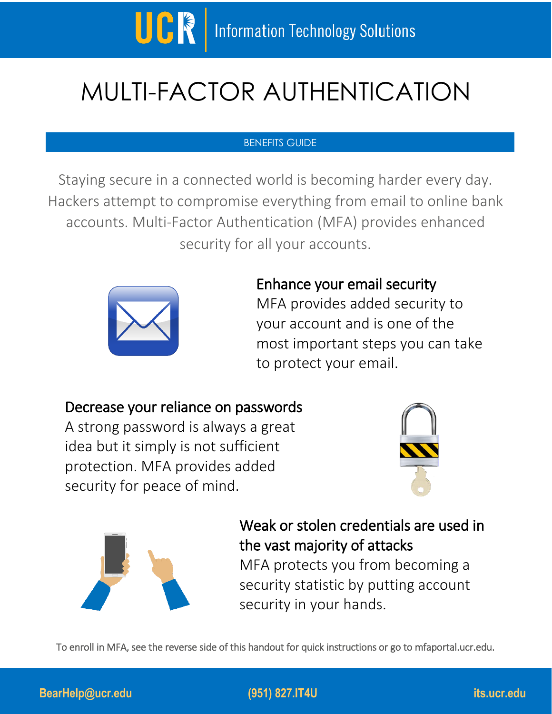

# MULTI-FACTOR AUTHENTICATION

## BENEFITS GUIDE

Staying secure in a connected world is becoming harder every day. Hackers attempt to compromise everything from email to online bank accounts. Multi-Factor Authentication (MFA) provides enhanced security for all your accounts.



# Enhance your email security MFA provides added security to your account and is one of the

most important steps you can take to protect your email.

## Decrease your reliance on passwords

A strong password is always a great idea but it simply is not sufficient protection. MFA provides added security for peace of mind.





Weak or stolen credentials are used in the vast majority of attacks

MFA protects you from becoming a security statistic by putting account security in your hands.

To enroll in MFA, see the reverse side of this handout for quick instructions or go to mfaportal.ucr.edu.